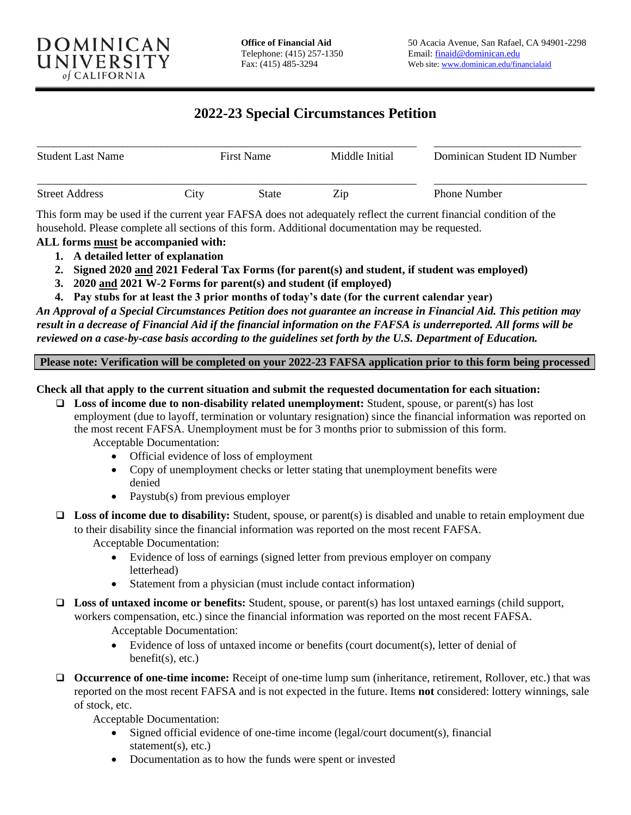# **2022-23 Special Circumstances Petition**

| <b>Student Last Name</b> | <b>First Name</b> |       | Middle Initial | Dominican Student ID Number |  |
|--------------------------|-------------------|-------|----------------|-----------------------------|--|
| <b>Street Address</b>    | City              | State | Zip            | <b>Phone Number</b>         |  |

This form may be used if the current year FAFSA does not adequately reflect the current financial condition of the household. Please complete all sections of this form. Additional documentation may be requested.

- **ALL forms must be accompanied with:**
	- **1. A detailed letter of explanation**
	- **2. Signed 2020 and 2021 Federal Tax Forms (for parent(s) and student, if student was employed)**
	- **3. 2020 and 2021 W-2 Forms for parent(s) and student (if employed)**
	- **4. Pay stubs for at least the 3 prior months of today's date (for the current calendar year)**

*An Approval of a Special Circumstances Petition does not guarantee an increase in Financial Aid. This petition may result in a decrease of Financial Aid if the financial information on the FAFSA is underreported. All forms will be reviewed on a case-by-case basis according to the guidelines set forth by the U.S. Department of Education.* 

**Please note: Verification will be completed on your 2022-23 FAFSA application prior to this form being processed**

#### **Check all that apply to the current situation and submit the requested documentation for each situation:**

- ❑ **Loss of income due to non-disability related unemployment:** Student, spouse, or parent(s) has lost employment (due to layoff, termination or voluntary resignation) since the financial information was reported on the most recent FAFSA. Unemployment must be for 3 months prior to submission of this form. Acceptable Documentation:
	- Official evidence of loss of employment
	- Copy of unemployment checks or letter stating that unemployment benefits were denied
	- Paystub(s) from previous employer
- ❑ **Loss of income due to disability:** Student, spouse, or parent(s) is disabled and unable to retain employment due to their disability since the financial information was reported on the most recent FAFSA. Acceptable Documentation:
	- Evidence of loss of earnings (signed letter from previous employer on company letterhead)
	- Statement from a physician (must include contact information)
- ❑ **Loss of untaxed income or benefits:** Student, spouse, or parent(s) has lost untaxed earnings (child support, workers compensation, etc.) since the financial information was reported on the most recent FAFSA.
	- Acceptable Documentation:
	- Evidence of loss of untaxed income or benefits (court document(s), letter of denial of  $benefit(s), etc.)$
- ❑ **Occurrence of one-time income:** Receipt of one-time lump sum (inheritance, retirement, Rollover, etc.) that was reported on the most recent FAFSA and is not expected in the future. Items **not** considered: lottery winnings, sale of stock, etc.

Acceptable Documentation:

- Signed official evidence of one-time income (legal/court document(s), financial statement(s), etc.)
- Documentation as to how the funds were spent or invested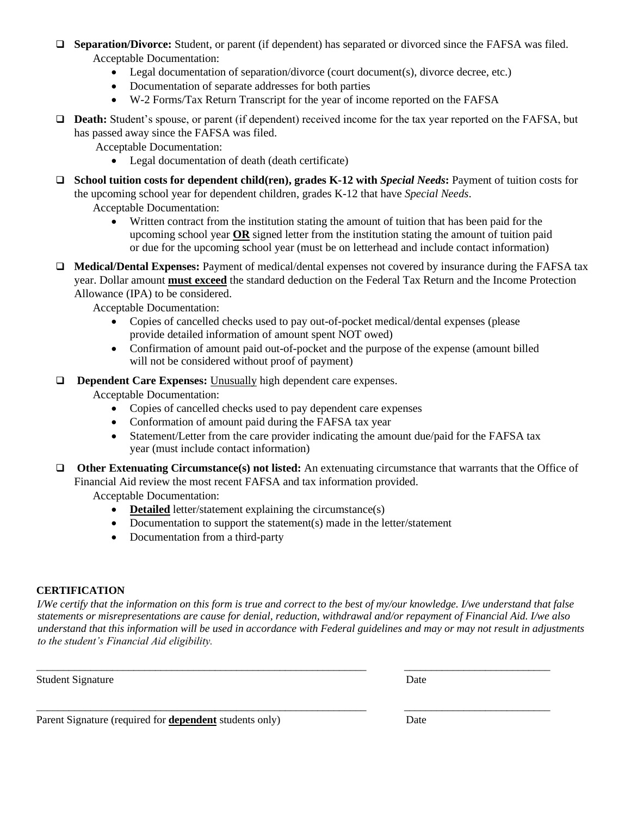- ❑ **Separation/Divorce:** Student, or parent (if dependent) has separated or divorced since the FAFSA was filed. Acceptable Documentation:
	- Legal documentation of separation/divorce (court document(s), divorce decree, etc.)
	- Documentation of separate addresses for both parties
	- W-2 Forms/Tax Return Transcript for the year of income reported on the FAFSA
- ❑ **Death:** Student's spouse, or parent (if dependent) received income for the tax year reported on the FAFSA, but has passed away since the FAFSA was filed.

Acceptable Documentation:

- Legal documentation of death (death certificate)
- ❑ **School tuition costs for dependent child(ren), grades K-12 with** *Special Needs***:** Payment of tuition costs for the upcoming school year for dependent children, grades K-12 that have *Special Needs*.

Acceptable Documentation:

- Written contract from the institution stating the amount of tuition that has been paid for the upcoming school year **OR** signed letter from the institution stating the amount of tuition paid or due for the upcoming school year (must be on letterhead and include contact information)
- ❑ **Medical/Dental Expenses:** Payment of medical/dental expenses not covered by insurance during the FAFSA tax year. Dollar amount **must exceed** the standard deduction on the Federal Tax Return and the Income Protection Allowance (IPA) to be considered.

Acceptable Documentation:

- Copies of cancelled checks used to pay out-of-pocket medical/dental expenses (please provide detailed information of amount spent NOT owed)
- Confirmation of amount paid out-of-pocket and the purpose of the expense (amount billed will not be considered without proof of payment)
- ❑ **Dependent Care Expenses:** Unusually high dependent care expenses.

Acceptable Documentation:

- Copies of cancelled checks used to pay dependent care expenses
- Conformation of amount paid during the FAFSA tax year
- Statement/Letter from the care provider indicating the amount due/paid for the FAFSA tax year (must include contact information)
- ❑ **Other Extenuating Circumstance(s) not listed:** An extenuating circumstance that warrants that the Office of Financial Aid review the most recent FAFSA and tax information provided.

Acceptable Documentation:

- **Detailed** letter/statement explaining the circumstance(s)
- Documentation to support the statement(s) made in the letter/statement
- Documentation from a third-party

#### **CERTIFICATION**

*I/We certify that the information on this form is true and correct to the best of my/our knowledge. I/we understand that false statements or misrepresentations are cause for denial, reduction, withdrawal and/or repayment of Financial Aid. I/we also understand that this information will be used in accordance with Federal guidelines and may or may not result in adjustments to the student's Financial Aid eligibility.* 

\_\_\_\_\_\_\_\_\_\_\_\_\_\_\_\_\_\_\_\_\_\_\_\_\_\_\_\_\_\_\_\_\_\_\_\_\_\_\_\_\_\_\_\_\_\_\_\_\_\_\_\_\_\_\_\_\_\_\_\_\_ \_\_\_\_\_\_\_\_\_\_\_\_\_\_\_\_\_\_\_\_\_\_\_\_\_\_\_

\_\_\_\_\_\_\_\_\_\_\_\_\_\_\_\_\_\_\_\_\_\_\_\_\_\_\_\_\_\_\_\_\_\_\_\_\_\_\_\_\_\_\_\_\_\_\_\_\_\_\_\_\_\_\_\_\_\_\_\_\_ \_\_\_\_\_\_\_\_\_\_\_\_\_\_\_\_\_\_\_\_\_\_\_\_\_\_\_

Student Signature

| ۰, | - - - | ۰.<br>w |
|----|-------|---------|

Parent Signature (required for **dependent** students only) Date